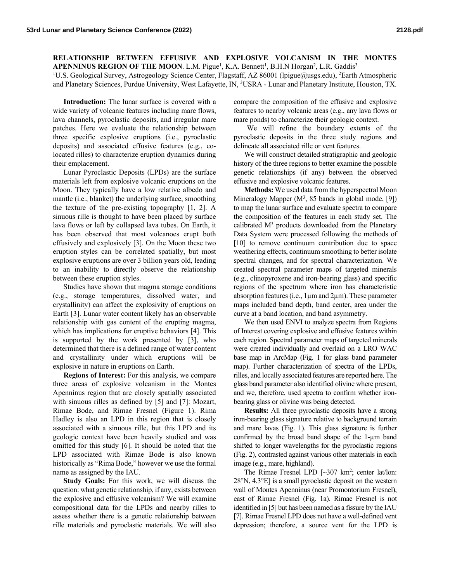## **RELATIONSHIP BETWEEN EFFUSIVE AND EXPLOSIVE VOLCANISM IN THE MONTES APENNINUS REGION OF THE MOON.** L.M. Pigue<sup>1</sup>, K.A. Bennett<sup>1</sup>, B.H.N Horgan<sup>2</sup>, L.R. Gaddis<sup>3</sup>

<sup>1</sup>U.S. Geological Survey, Astrogeology Science Center, Flagstaff, AZ 86001 (lpigue@usgs.edu), <sup>2</sup>Earth Atmospheric and Planetary Sciences, Purdue University, West Lafayette, IN, <sup>3</sup>USRA - Lunar and Planetary Institute, Houston, TX.

**Introduction:** The lunar surface is covered with a wide variety of volcanic features including mare flows, lava channels, pyroclastic deposits, and irregular mare patches. Here we evaluate the relationship between three specific explosive eruptions (i.e., pyroclastic deposits) and associated effusive features (e.g., colocated rilles) to characterize eruption dynamics during their emplacement.

Lunar Pyroclastic Deposits (LPDs) are the surface materials left from explosive volcanic eruptions on the Moon. They typically have a low relative albedo and mantle (i.e., blanket) the underlying surface, smoothing the texture of the pre-existing topography [1, 2]. A sinuous rille is thought to have been placed by surface lava flows or left by collapsed lava tubes. On Earth, it has been observed that most volcanoes erupt both effusively and explosively [3]. On the Moon these two eruption styles can be correlated spatially, but most explosive eruptions are over 3 billion years old, leading to an inability to directly observe the relationship between these eruption styles.

Studies have shown that magma storage conditions (e.g., storage temperatures, dissolved water, and crystallinity) can affect the explosivity of eruptions on Earth [3]. Lunar water content likely has an observable relationship with gas content of the erupting magma, which has implications for eruptive behaviors [4]. This is supported by the work presented by [3], who determined that there is a defined range of water content and crystallinity under which eruptions will be explosive in nature in eruptions on Earth.

**Regions of Interest:** For this analysis, we compare three areas of explosive volcanism in the Montes Apenninus region that are closely spatially associated with sinuous rilles as defined by [5] and [7]: Mozart, Rimae Bode, and Rimae Fresnel (Figure 1). Rima Hadley is also an LPD in this region that is closely associated with a sinuous rille, but this LPD and its geologic context have been heavily studied and was omitted for this study [6]. It should be noted that the LPD associated with Rimae Bode is also known historically as "Rima Bode," however we use the formal name as assigned by the IAU.

**Study Goals:** For this work, we will discuss the question: what genetic relationship, if any, exists between the explosive and effusive volcanism? We will examine compositional data for the LPDs and nearby rilles to assess whether there is a genetic relationship between rille materials and pyroclastic materials. We will also compare the composition of the effusive and explosive features to nearby volcanic areas (e.g., any lava flows or mare ponds) to characterize their geologic context.

We will refine the boundary extents of the pyroclastic deposits in the three study regions and delineate all associated rille or vent features.

We will construct detailed stratigraphic and geologic history of the three regions to better examine the possible genetic relationships (if any) between the observed effusive and explosive volcanic features.

**Methods:** We used data from the hyperspectral Moon Mineralogy Mapper  $(M<sup>3</sup>, 85$  bands in global mode, [9]) to map the lunar surface and evaluate spectra to compare the composition of the features in each study set. The calibrated  $M<sup>3</sup>$  products downloaded from the Planetary Data System were processed following the methods of [10] to remove continuum contribution due to space weathering effects, continuum smoothing to better isolate spectral changes, and for spectral characterization. We created spectral parameter maps of targeted minerals (e.g., clinopyroxene and iron-bearing glass) and specific regions of the spectrum where iron has characteristic absorption features (i.e., 1µm and 2µm). These parameter maps included band depth, band center, area under the curve at a band location, and band asymmetry.

We then used ENVI to analyze spectra from Regions of Interest covering explosive and effusive features within each region. Spectral parameter maps of targeted minerals were created individually and overlaid on a LRO WAC base map in ArcMap (Fig. 1 for glass band parameter map). Further characterization of spectra of the LPDs, rilles, and locally associated features are reported here. The glass band parameter also identified olivine where present, and we, therefore, used spectra to confirm whether ironbearing glass or olivine was being detected.

**Results:** All three pyroclastic deposits have a strong iron-bearing glass signature relative to background terrain and mare lavas (Fig. 1). This glass signature is further confirmed by the broad band shape of the 1-µm band shifted to longer wavelengths for the pyroclastic regions (Fig. 2), contrasted against various other materials in each image (e.g., mare, highland).

The Rimae Fresnel LPD  $[\sim]307 \text{ km}^2$ ; center lat/lon: 28°N, 4.3°E] is a small pyroclastic deposit on the western wall of Montes Apenninus (near Promontorium Fresnel), east of Rimae Fresnel (Fig. 1a). Rimae Fresnel is not identified in [5] but has been named as a fissure by the IAU [7]. Rimae Fresnel LPD does not have a well-defined vent depression; therefore, a source vent for the LPD is